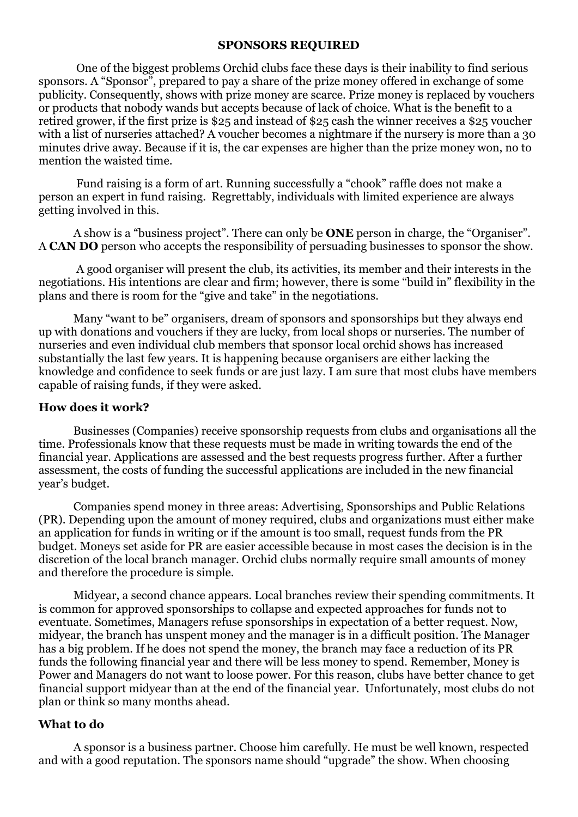### **SPONSORS REQUIRED**

 One of the biggest problems Orchid clubs face these days is their inability to find serious sponsors. A "Sponsor", prepared to pay a share of the prize money offered in exchange of some publicity. Consequently, shows with prize money are scarce. Prize money is replaced by vouchers or products that nobody wands but accepts because of lack of choice. What is the benefit to a retired grower, if the first prize is \$25 and instead of \$25 cash the winner receives a \$25 voucher with a list of nurseries attached? A voucher becomes a nightmare if the nursery is more than a 30 minutes drive away. Because if it is, the car expenses are higher than the prize money won, no to mention the waisted time.

 Fund raising is a form of art. Running successfully a "chook" raffle does not make a person an expert in fund raising. Regrettably, individuals with limited experience are always getting involved in this.

A show is a "business project". There can only be **ONE** person in charge, the "Organiser". A **CAN DO** person who accepts the responsibility of persuading businesses to sponsor the show.

 A good organiser will present the club, its activities, its member and their interests in the negotiations. His intentions are clear and firm; however, there is some "build in" flexibility in the plans and there is room for the "give and take" in the negotiations.

Many "want to be" organisers, dream of sponsors and sponsorships but they always end up with donations and vouchers if they are lucky, from local shops or nurseries. The number of nurseries and even individual club members that sponsor local orchid shows has increased substantially the last few years. It is happening because organisers are either lacking the knowledge and confidence to seek funds or are just lazy. I am sure that most clubs have members capable of raising funds, if they were asked.

### **How does it work?**

Businesses (Companies) receive sponsorship requests from clubs and organisations all the time. Professionals know that these requests must be made in writing towards the end of the financial year. Applications are assessed and the best requests progress further. After a further assessment, the costs of funding the successful applications are included in the new financial year's budget.

Companies spend money in three areas: Advertising, Sponsorships and Public Relations (PR). Depending upon the amount of money required, clubs and organizations must either make an application for funds in writing or if the amount is too small, request funds from the PR budget. Moneys set aside for PR are easier accessible because in most cases the decision is in the discretion of the local branch manager. Orchid clubs normally require small amounts of money and therefore the procedure is simple.

Midyear, a second chance appears. Local branches review their spending commitments. It is common for approved sponsorships to collapse and expected approaches for funds not to eventuate. Sometimes, Managers refuse sponsorships in expectation of a better request. Now, midyear, the branch has unspent money and the manager is in a difficult position. The Manager has a big problem. If he does not spend the money, the branch may face a reduction of its PR funds the following financial year and there will be less money to spend. Remember, Money is Power and Managers do not want to loose power. For this reason, clubs have better chance to get financial support midyear than at the end of the financial year. Unfortunately, most clubs do not plan or think so many months ahead.

#### **What to do**

A sponsor is a business partner. Choose him carefully. He must be well known, respected and with a good reputation. The sponsors name should "upgrade" the show. When choosing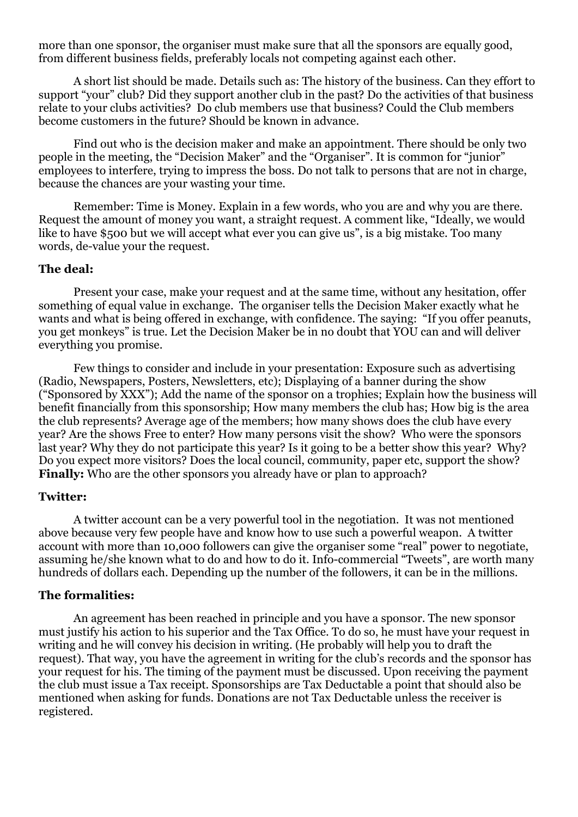more than one sponsor, the organiser must make sure that all the sponsors are equally good, from different business fields, preferably locals not competing against each other.

A short list should be made. Details such as: The history of the business. Can they effort to support "your" club? Did they support another club in the past? Do the activities of that business relate to your clubs activities? Do club members use that business? Could the Club members become customers in the future? Should be known in advance.

Find out who is the decision maker and make an appointment. There should be only two people in the meeting, the "Decision Maker" and the "Organiser". It is common for "junior" employees to interfere, trying to impress the boss. Do not talk to persons that are not in charge, because the chances are your wasting your time.

Remember: Time is Money. Explain in a few words, who you are and why you are there. Request the amount of money you want, a straight request. A comment like, "Ideally, we would like to have \$500 but we will accept what ever you can give us", is a big mistake. Too many words, de-value your the request.

### **The deal:**

Present your case, make your request and at the same time, without any hesitation, offer something of equal value in exchange. The organiser tells the Decision Maker exactly what he wants and what is being offered in exchange, with confidence. The saying: "If you offer peanuts, you get monkeys" is true. Let the Decision Maker be in no doubt that YOU can and will deliver everything you promise.

Few things to consider and include in your presentation: Exposure such as advertising (Radio, Newspapers, Posters, Newsletters, etc); Displaying of a banner during the show ("Sponsored by XXX"); Add the name of the sponsor on a trophies; Explain how the business will benefit financially from this sponsorship; How many members the club has; How big is the area the club represents? Average age of the members; how many shows does the club have every year? Are the shows Free to enter? How many persons visit the show? Who were the sponsors last year? Why they do not participate this year? Is it going to be a better show this year? Why? Do you expect more visitors? Does the local council, community, paper etc, support the show? **Finally:** Who are the other sponsors you already have or plan to approach?

### **Twitter:**

A twitter account can be a very powerful tool in the negotiation. It was not mentioned above because very few people have and know how to use such a powerful weapon. A twitter account with more than 10,000 followers can give the organiser some "real" power to negotiate, assuming he/she known what to do and how to do it. Info-commercial "Tweets", are worth many hundreds of dollars each. Depending up the number of the followers, it can be in the millions.

# **The formalities:**

An agreement has been reached in principle and you have a sponsor. The new sponsor must justify his action to his superior and the Tax Office. To do so, he must have your request in writing and he will convey his decision in writing. (He probably will help you to draft the request). That way, you have the agreement in writing for the club's records and the sponsor has your request for his. The timing of the payment must be discussed. Upon receiving the payment the club must issue a Tax receipt. Sponsorships are Tax Deductable a point that should also be mentioned when asking for funds. Donations are not Tax Deductable unless the receiver is registered.